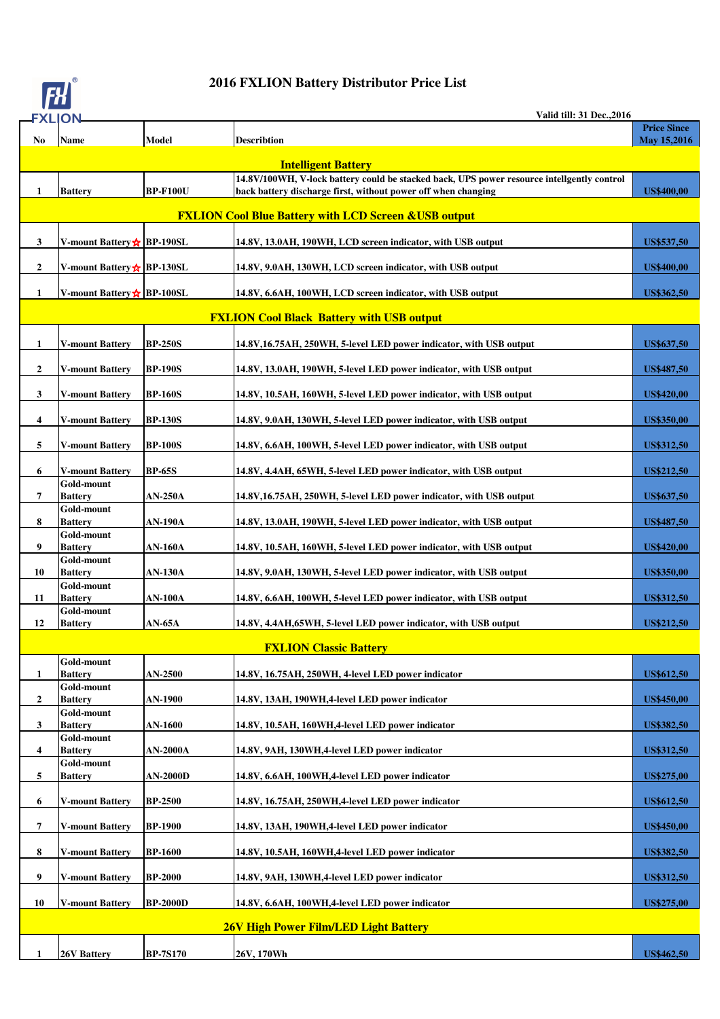

## **2016 FXLION Battery Distributor Price List**

| <b>FXLION</b>                                |                              |                 | <b>Valid till: 31 Dec., 2016</b>                                                           |                    |
|----------------------------------------------|------------------------------|-----------------|--------------------------------------------------------------------------------------------|--------------------|
|                                              |                              |                 |                                                                                            | <b>Price Since</b> |
| No                                           | <b>Name</b>                  | <b>Model</b>    | <b>Describtion</b>                                                                         | <b>May 15,2016</b> |
|                                              |                              |                 | <b>Intelligent Battery</b>                                                                 |                    |
|                                              |                              |                 | 14.8V/100WH, V-lock battery could be stacked back, UPS power resource intellgently control |                    |
| 1                                            | <b>Battery</b>               | <b>BP-F100U</b> | back battery discharge first, without power off when changing                              | <b>US\$400,00</b>  |
|                                              |                              |                 | <b>FXLION Cool Blue Battery with LCD Screen &amp; USB output</b>                           |                    |
|                                              |                              |                 |                                                                                            |                    |
| 3                                            | V-mount Battery☆ BP-190SL    |                 | 14.8V, 13.0AH, 190WH, LCD screen indicator, with USB output                                | US\$537,50         |
| $\mathbf{2}$                                 | V-mount Battery☆ BP-130SL    |                 | 14.8V, 9.0AH, 130WH, LCD screen indicator, with USB output                                 | <b>US\$400,00</b>  |
| 1                                            | V-mount Battery☆ BP-100SL    |                 | 14.8V, 6.6AH, 100WH, LCD screen indicator, with USB output                                 | <b>US\$362,50</b>  |
|                                              |                              |                 | <b>FXLION Cool Black Battery with USB output</b>                                           |                    |
| 1                                            | <b>V-mount Battery</b>       | <b>BP-250S</b>  | 14.8V, 16.75AH, 250WH, 5-level LED power indicator, with USB output                        | US\$637,50         |
| $\mathbf{2}$                                 | <b>V-mount Battery</b>       | <b>BP-190S</b>  | 14.8V, 13.0AH, 190WH, 5-level LED power indicator, with USB output                         | <b>US\$487,50</b>  |
| 3                                            | <b>V-mount Battery</b>       | <b>BP-160S</b>  | 14.8V, 10.5AH, 160WH, 5-level LED power indicator, with USB output                         | <b>US\$420,00</b>  |
|                                              |                              |                 |                                                                                            |                    |
| 4                                            | <b>V-mount Battery</b>       | <b>BP-130S</b>  | 14.8V, 9.0AH, 130WH, 5-level LED power indicator, with USB output                          | <b>US\$350,00</b>  |
| 5                                            | <b>V-mount Battery</b>       | <b>BP-100S</b>  | 14.8V, 6.6AH, 100WH, 5-level LED power indicator, with USB output                          | <b>US\$312,50</b>  |
| 6                                            | V-mount Battery              | <b>BP-65S</b>   | 14.8V, 4.4AH, 65WH, 5-level LED power indicator, with USB output                           | <b>US\$212,50</b>  |
| 7                                            | Gold-mount<br><b>Battery</b> | AN-250A         | 14.8V, 16.75AH, 250WH, 5-level LED power indicator, with USB output                        | US\$637,50         |
| 8                                            | Gold-mount<br><b>Battery</b> | AN-190A         | 14.8V, 13.0AH, 190WH, 5-level LED power indicator, with USB output                         | <b>US\$487,50</b>  |
|                                              | Gold-mount                   |                 |                                                                                            |                    |
| 9                                            | <b>Battery</b><br>Gold-mount | AN-160A         | 14.8V, 10.5AH, 160WH, 5-level LED power indicator, with USB output                         | <b>US\$420,00</b>  |
| 10                                           | <b>Battery</b>               | <b>AN-130A</b>  | 14.8V, 9.0AH, 130WH, 5-level LED power indicator, with USB output                          | <b>US\$350,00</b>  |
| 11                                           | Gold-mount<br><b>Battery</b> | AN-100A         | 14.8V, 6.6AH, 100WH, 5-level LED power indicator, with USB output                          | <b>US\$312,50</b>  |
|                                              | Gold-mount                   |                 |                                                                                            |                    |
| 12                                           | <b>Battery</b>               | <b>AN-65A</b>   | 14.8V, 4.4AH, 65WH, 5-level LED power indicator, with USB output                           | <b>US\$212,50</b>  |
|                                              |                              |                 | <b>FXLION Classic Battery</b>                                                              |                    |
|                                              | Gold-mount                   |                 |                                                                                            |                    |
| 1                                            | <b>Battery</b><br>Gold-mount | <b>AN-2500</b>  | 14.8V, 16.75AH, 250WH, 4-level LED power indicator                                         | <b>US\$612,50</b>  |
| $\mathbf{2}$                                 | <b>Battery</b>               | <b>AN-1900</b>  | 14.8V, 13AH, 190WH, 4-level LED power indicator                                            | <b>US\$450,00</b>  |
|                                              | Gold-mount                   |                 |                                                                                            |                    |
| 3                                            | <b>Battery</b><br>Gold-mount | <b>AN-1600</b>  | 14.8V, 10.5AH, 160WH, 4-level LED power indicator                                          | <b>US\$382,50</b>  |
| 4                                            | <b>Battery</b>               | AN-2000A        | 14.8V, 9AH, 130WH, 4-level LED power indicator                                             | <b>US\$312,50</b>  |
| 5                                            | Gold-mount<br><b>Battery</b> | <b>AN-2000D</b> | 14.8V, 6.6AH, 100WH, 4-level LED power indicator                                           | <b>US\$275,00</b>  |
| 6                                            | <b>V-mount Battery</b>       | <b>BP-2500</b>  | 14.8V, 16.75AH, 250WH, 4-level LED power indicator                                         | <b>US\$612,50</b>  |
|                                              |                              |                 |                                                                                            |                    |
| 7                                            | <b>V-mount Battery</b>       | <b>BP-1900</b>  | 14.8V, 13AH, 190WH, 4-level LED power indicator                                            | <b>US\$450,00</b>  |
| 8                                            | <b>V-mount Battery</b>       | <b>BP-1600</b>  | 14.8V, 10.5AH, 160WH, 4-level LED power indicator                                          | <b>US\$382,50</b>  |
| 9                                            | <b>V-mount Battery</b>       | <b>BP-2000</b>  | 14.8V, 9AH, 130WH, 4-level LED power indicator                                             | <b>US\$312,50</b>  |
| 10                                           | <b>V-mount Battery</b>       | <b>BP-2000D</b> | 14.8V, 6.6AH, 100WH, 4-level LED power indicator                                           | <b>US\$275,00</b>  |
| <b>26V High Power Film/LED Light Battery</b> |                              |                 |                                                                                            |                    |
| 1                                            | 26V Battery                  | <b>BP-7S170</b> | 26V, 170Wh                                                                                 | <b>US\$462,50</b>  |
|                                              |                              |                 |                                                                                            |                    |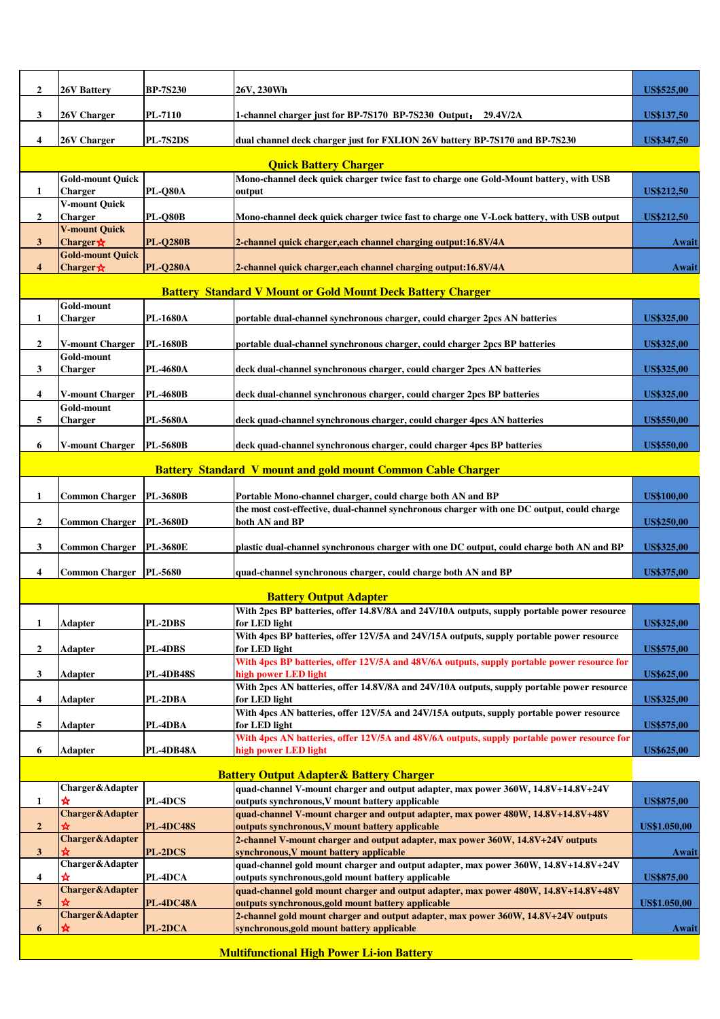| $\overline{2}$                                   | <b>26V Battery</b>                         | <b>BP-7S230</b>  | 26V, 230Wh                                                                                                                               | <b>US\$525,00</b>   |
|--------------------------------------------------|--------------------------------------------|------------------|------------------------------------------------------------------------------------------------------------------------------------------|---------------------|
| 3                                                | 26V Charger                                | <b>PL-7110</b>   | 1-channel charger just for BP-7S170 BP-7S230 Output: 29.4V/2A                                                                            | US\$137,50          |
| 4                                                | 26V Charger                                | <b>PL-7S2DS</b>  | dual channel deck charger just for FXLION 26V battery BP-7S170 and BP-7S230                                                              | US\$347,50          |
|                                                  |                                            |                  | <b>Quick Battery Charger</b>                                                                                                             |                     |
|                                                  | <b>Gold-mount Quick</b>                    |                  | Mono-channel deck quick charger twice fast to charge one Gold-Mount battery, with USB                                                    |                     |
| 1                                                | <b>Charger</b>                             | <b>PL-Q80A</b>   | output                                                                                                                                   | US\$212,50          |
|                                                  | <b>V-mount Ouick</b>                       |                  |                                                                                                                                          |                     |
| $\overline{2}$                                   | <b>Charger</b><br><b>V-mount Quick</b>     | <b>PL-Q80B</b>   | Mono-channel deck quick charger twice fast to charge one V-Lock battery, with USB output                                                 | US\$212,50          |
| 3                                                | Charger $\star$<br><b>Gold-mount Quick</b> | <b>PL-Q280B</b>  | 2-channel quick charger, each channel charging output:16.8V/4A                                                                           | Await               |
| $\overline{4}$                                   | Charger *                                  | <b>PL-Q280A</b>  | 2-channel quick charger, each channel charging output: 16.8V/4A                                                                          | Await               |
|                                                  |                                            |                  | <b>Battery Standard V Mount or Gold Mount Deck Battery Charger</b>                                                                       |                     |
|                                                  | Gold-mount                                 |                  |                                                                                                                                          |                     |
| 1                                                | <b>Charger</b>                             | PL-1680A         | portable dual-channel synchronous charger, could charger 2pcs AN batteries                                                               | <b>US\$325,00</b>   |
| $\overline{2}$                                   | <b>V-mount Charger</b>                     | <b>PL-1680B</b>  | portable dual-channel synchronous charger, could charger 2pcs BP batteries                                                               | <b>US\$325,00</b>   |
| 3                                                | Gold-mount<br><b>Charger</b>               | PL-4680A         | deck dual-channel synchronous charger, could charger 2pcs AN batteries                                                                   | <b>US\$325,00</b>   |
|                                                  |                                            |                  |                                                                                                                                          |                     |
| 4                                                | <b>V-mount Charger</b><br>Gold-mount       | <b>PL-4680B</b>  | deck dual-channel synchronous charger, could charger 2pcs BP batteries                                                                   | <b>US\$325,00</b>   |
| 5                                                | <b>Charger</b>                             | PL-5680A         | deck quad-channel synchronous charger, could charger 4pcs AN batteries                                                                   | <b>US\$550,00</b>   |
| 6                                                | <b>V-mount Charger</b>                     | <b>PL-5680B</b>  | deck quad-channel synchronous charger, could charger 4pcs BP batteries                                                                   | <b>US\$550,00</b>   |
|                                                  |                                            |                  | <b>Battery Standard V mount and gold mount Common Cable Charger</b>                                                                      |                     |
|                                                  |                                            |                  |                                                                                                                                          |                     |
| 1                                                | <b>Common Charger</b>                      | PL-3680B         | Portable Mono-channel charger, could charge both AN and BP                                                                               | <b>US\$100,00</b>   |
| $\overline{2}$                                   | Common Charger                             | <b>PL-3680D</b>  | the most cost-effective, dual-channel synchronous charger with one DC output, could charge<br>both AN and BP                             | <b>US\$250,00</b>   |
| 3                                                | <b>Common Charger</b>                      | <b>PL-3680E</b>  | plastic dual-channel synchronous charger with one DC output, could charge both AN and BP                                                 | <b>US\$325,00</b>   |
| 4                                                | <b>Common Charger</b>                      | PL-5680          | quad-channel synchronous charger, could charge both AN and BP                                                                            | <b>US\$375,00</b>   |
|                                                  |                                            |                  |                                                                                                                                          |                     |
|                                                  |                                            |                  | <b>Battery Output Adapter</b>                                                                                                            |                     |
| $\mathbf{1}$                                     | <b>Adapter</b>                             | PL-2DBS          | With 2pcs BP batteries, offer 14.8V/8A and 24V/10A outputs, supply portable power resource<br>for LED light                              | <b>US\$325,00</b>   |
|                                                  |                                            |                  | With 4pcs BP batteries, offer 12V/5A and 24V/15A outputs, supply portable power resource                                                 |                     |
| $\overline{\mathbf{2}}$                          | Adapter                                    | PL-4DBS          | for LED light<br>With 4pcs BP batteries, offer 12V/5A and 48V/6A outputs, supply portable power resource for                             | <b>US\$575,00</b>   |
| $\mathbf{3}$                                     | <b>Adapter</b>                             | <b>PL-4DB48S</b> | high power LED light                                                                                                                     | <b>US\$625,00</b>   |
| 4                                                | Adapter                                    | PL-2DBA          | With 2pcs AN batteries, offer 14.8V/8A and 24V/10A outputs, supply portable power resource<br>for LED light                              | <b>US\$325,00</b>   |
|                                                  |                                            |                  | With 4pcs AN batteries, offer 12V/5A and 24V/15A outputs, supply portable power resource                                                 |                     |
| 5                                                | Adapter                                    | PL-4DBA          | for LED light<br>With 4pcs AN batteries, offer 12V/5A and 48V/6A outputs, supply portable power resource for                             | <b>US\$575,00</b>   |
| 6                                                | Adapter                                    | PL-4DB48A        | high power LED light                                                                                                                     | <b>US\$625,00</b>   |
|                                                  |                                            |                  | <b>Battery Output Adapter &amp; Battery Charger</b>                                                                                      |                     |
|                                                  | Charger&Adapter                            |                  | quad-channel V-mount charger and output adapter, max power 360W, 14.8V+14.8V+24V                                                         |                     |
| $\mathbf{1}$                                     | ☆                                          | PL-4DCS          | outputs synchronous, V mount battery applicable                                                                                          | <b>US\$875,00</b>   |
| $\overline{\mathbf{2}}$                          | <b>Charger&amp;Adapter</b>                 | <b>PL-4DC48S</b> | quad-channel V-mount charger and output adapter, max power 480W, 14.8V+14.8V+48V<br>outputs synchronous, V mount battery applicable      | <b>US\$1.050,00</b> |
|                                                  | <b>Charger&amp;Adapter</b>                 |                  | 2-channel V-mount charger and output adapter, max power 360W, 14.8V+24V outputs                                                          |                     |
| $\mathbf{3}$                                     | ≵<br>Charger&Adapter                       | <b>PL-2DCS</b>   | synchronous, V mount battery applicable<br>quad-channel gold mount charger and output adapter, max power 360W, 14.8V+14.8V+24V           | Await               |
| $\overline{\mathbf{4}}$                          | ☆                                          | PL-4DCA          | outputs synchronous, gold mount battery applicable                                                                                       | <b>US\$875,00</b>   |
|                                                  | <b>Charger&amp;Adapter</b>                 |                  | quad-channel gold mount charger and output adapter, max power 480W, 14.8V+14.8V+48V                                                      |                     |
| 5                                                | <b>Charger&amp;Adapter</b>                 | <b>PL-4DC48A</b> | outputs synchronous, gold mount battery applicable<br>2-channel gold mount charger and output adapter, max power 360W, 14.8V+24V outputs | <b>US\$1.050,00</b> |
| 6                                                | ⋩                                          | PL-2DCA          | synchronous, gold mount battery applicable                                                                                               | Await               |
| <b>Multifunctional High Power Li-ion Battery</b> |                                            |                  |                                                                                                                                          |                     |

 $\mathbb{R}^2$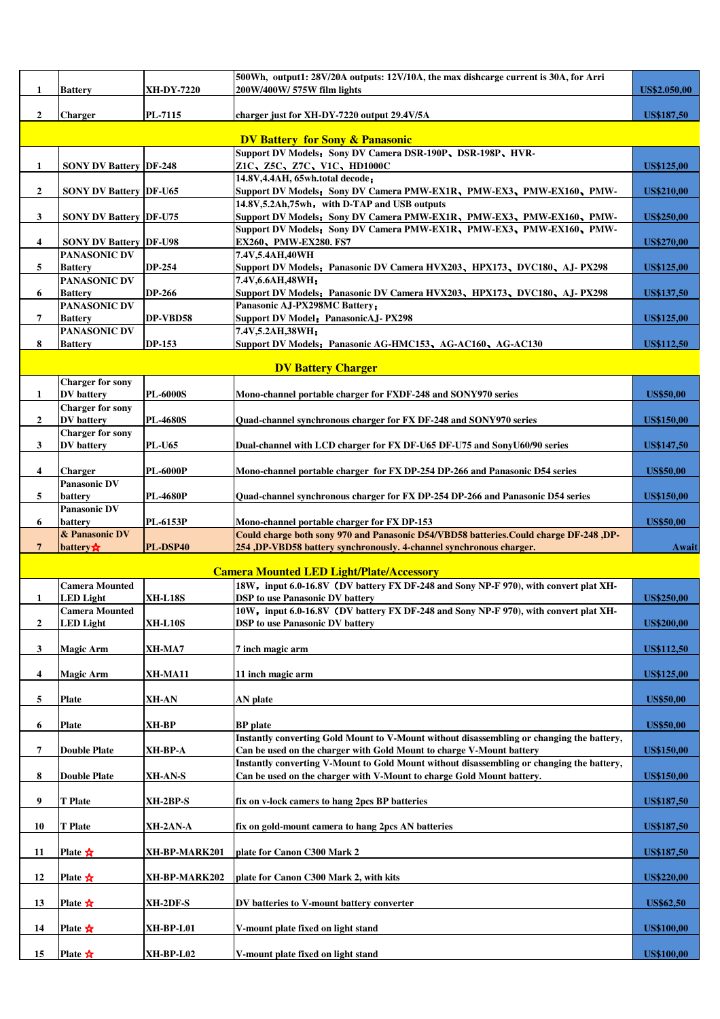| 1                       | <b>Battery</b>                                | <b>XH-DY-7220</b> | 500Wh, output1: 28V/20A outputs: 12V/10A, the max dishcarge current is 30A, for Arri<br>200W/400W/ 575W film lights                    | US\$2.050,00      |
|-------------------------|-----------------------------------------------|-------------------|----------------------------------------------------------------------------------------------------------------------------------------|-------------------|
|                         |                                               |                   |                                                                                                                                        |                   |
| $\overline{2}$          | <b>Charger</b>                                | PL-7115           | charger just for XH-DY-7220 output 29.4V/5A                                                                                            | <b>US\$187,50</b> |
|                         |                                               |                   | <b>DV Battery for Sony &amp; Panasonic</b>                                                                                             |                   |
| 1                       | <b>SONY DV Battery DF-248</b>                 |                   | Support DV Models: Sony DV Camera DSR-190P, DSR-198P, HVR-<br>Z1C、Z5C、Z7C、V1C、HD1000C                                                  | <b>US\$125,00</b> |
|                         |                                               |                   | 14.8V, 4.4AH, 65wh.total decode;                                                                                                       |                   |
| $\overline{2}$          | <b>SONY DV Battery  DF-U65</b>                |                   | Support DV Models: Sony DV Camera PMW-EX1R, PMW-EX3, PMW-EX160, PMW-                                                                   | <b>US\$210,00</b> |
| 3                       | <b>SONY DV Battery DF-U75</b>                 |                   | 14.8V, 5.2Ah, 75wh, with D-TAP and USB outputs<br>Support DV Models: Sony DV Camera PMW-EX1R, PMW-EX3, PMW-EX160, PMW-                 | <b>US\$250,00</b> |
|                         |                                               |                   | Support DV Models: Sony DV Camera PMW-EX1R, PMW-EX3, PMW-EX160, PMW-                                                                   |                   |
| 4                       | <b>SONY DV Battery DF-U98</b><br>PANASONIC DV |                   | EX260, PMW-EX280. FS7<br>7.4V,5.4AH,40WH                                                                                               | <b>US\$270,00</b> |
| 5                       | <b>Battery</b>                                | <b>DP-254</b>     | Support DV Models: Panasonic DV Camera HVX203, HPX173, DVC180, AJ-PX298                                                                | <b>US\$125,00</b> |
|                         | PANASONIC DV                                  |                   | 7.4V,6.6AH,48WH;                                                                                                                       |                   |
| 6                       | <b>Battery</b><br>PANASONIC DV                | <b>DP-266</b>     | Support DV Models: Panasonic DV Camera HVX203、HPX173、DVC180、AJ-PX298<br>Panasonic AJ-PX298MC Battery;                                  | <b>US\$137,50</b> |
| 7                       | <b>Battery</b>                                | DP-VBD58          | <b>Support DV Model: PanasonicAJ-PX298</b>                                                                                             | <b>US\$125,00</b> |
| 8                       | <b>PANASONIC DV</b><br><b>Battery</b>         | <b>DP-153</b>     | 7.4V,5.2AH,38WH;<br>Support DV Models: Panasonic AG-HMC153, AG-AC160, AG-AC130                                                         | <b>US\$112,50</b> |
|                         |                                               |                   |                                                                                                                                        |                   |
|                         |                                               |                   | <b>DV Battery Charger</b>                                                                                                              |                   |
| 1                       | <b>Charger for sony</b><br><b>DV</b> battery  | <b>PL-6000S</b>   | Mono-channel portable charger for FXDF-248 and SONY970 series                                                                          | <b>US\$50,00</b>  |
|                         | <b>Charger for sony</b>                       |                   |                                                                                                                                        |                   |
| $\overline{2}$          | <b>DV</b> battery                             | <b>PL-4680S</b>   | Quad-channel synchronous charger for FX DF-248 and SONY970 series                                                                      | <b>US\$150,00</b> |
| 3                       | <b>Charger for sony</b><br><b>DV</b> battery  | <b>PL-U65</b>     | Dual-channel with LCD charger for FX DF-U65 DF-U75 and SonyU60/90 series                                                               | <b>US\$147,50</b> |
|                         |                                               |                   |                                                                                                                                        |                   |
| 4                       | Charger<br><b>Panasonic DV</b>                | <b>PL-6000P</b>   | Mono-channel portable charger for FX DP-254 DP-266 and Panasonic D54 series                                                            | <b>US\$50,00</b>  |
| 5                       | battery                                       | <b>PL-4680P</b>   | Quad-channel synchronous charger for FX DP-254 DP-266 and Panasonic D54 series                                                         | <b>US\$150,00</b> |
|                         | <b>Panasonic DV</b>                           |                   |                                                                                                                                        |                   |
| 6                       | battery<br>& Panasonic DV                     | <b>PL-6153P</b>   | Mono-channel portable charger for FX DP-153<br>Could charge both sony 970 and Panasonic D54/VBD58 batteries. Could charge DF-248 , DP- | <b>US\$50,00</b>  |
| $\overline{7}$          | battery $\mathbf{\hat{x}}$                    | PL-DSP40          | 254, DP-VBD58 battery synchronously. 4-channel synchronous charger.                                                                    | Await             |
|                         |                                               |                   | <b>Camera Mounted LED Light/Plate/Accessory</b>                                                                                        |                   |
|                         | <b>Camera Mounted</b>                         |                   | 18W, input 6.0-16.8V (DV battery FX DF-248 and Sony NP-F 970), with convert plat XH-                                                   |                   |
| 1                       | <b>LED Light</b><br><b>Camera Mounted</b>     | <b>XH-L18S</b>    | <b>DSP</b> to use Panasonic DV battery<br>10W, input 6.0-16.8V (DV battery FX DF-248 and Sony NP-F 970), with convert plat XH-         | <b>US\$250,00</b> |
| $\overline{2}$          | <b>LED Light</b>                              | <b>XH-L10S</b>    | <b>DSP</b> to use Panasonic DV battery                                                                                                 | <b>US\$200,00</b> |
|                         |                                               |                   |                                                                                                                                        |                   |
| $\mathbf{3}$            | <b>Magic Arm</b>                              | XH-MA7            | 7 inch magic arm                                                                                                                       | <b>US\$112,50</b> |
| $\overline{\mathbf{4}}$ | <b>Magic Arm</b>                              | XH-MA11           | 11 inch magic arm                                                                                                                      | <b>US\$125,00</b> |
| 5                       | Plate                                         | XH-AN             | AN plate                                                                                                                               | <b>US\$50,00</b>  |
|                         |                                               |                   |                                                                                                                                        |                   |
| 6                       | <b>Plate</b>                                  | XH-BP             | <b>BP</b> plate<br>Instantly converting Gold Mount to V-Mount without disassembling or changing the battery,                           | <b>US\$50,00</b>  |
| 7                       | <b>Double Plate</b>                           | XH-BP-A           | Can be used on the charger with Gold Mount to charge V-Mount battery                                                                   | <b>US\$150,00</b> |
|                         |                                               |                   | Instantly converting V-Mount to Gold Mount without disassembling or changing the battery,                                              |                   |
| 8                       | <b>Double Plate</b>                           | XH-AN-S           | Can be used on the charger with V-Mount to charge Gold Mount battery.                                                                  | <b>US\$150,00</b> |
| 9                       | <b>T</b> Plate                                | XH-2BP-S          | fix on v-lock camers to hang 2pcs BP batteries                                                                                         | <b>US\$187,50</b> |
| 10                      | <b>T</b> Plate                                | XH-2AN-A          | fix on gold-mount camera to hang 2pcs AN batteries                                                                                     | <b>US\$187,50</b> |
|                         |                                               |                   |                                                                                                                                        |                   |
| 11                      | Plate $\mathbf{\hat{x}}$                      | XH-BP-MARK201     | plate for Canon C300 Mark 2                                                                                                            | <b>US\$187,50</b> |
| 12                      | Plate $\mathbf{\hat{x}}$                      | XH-BP-MARK202     | plate for Canon C300 Mark 2, with kits                                                                                                 | <b>US\$220,00</b> |
| 13                      | Plate $\mathbf{\hat{x}}$                      | XH-2DF-S          | DV batteries to V-mount battery converter                                                                                              | <b>US\$62,50</b>  |
|                         |                                               |                   |                                                                                                                                        |                   |
| 14                      | Plate $\mathbf{\hat{x}}$                      | XH-BP-L01         | V-mount plate fixed on light stand                                                                                                     | <b>US\$100,00</b> |
| 15                      | Plate $\mathbf{\hat{x}}$                      | XH-BP-L02         | V-mount plate fixed on light stand                                                                                                     | <b>US\$100,00</b> |